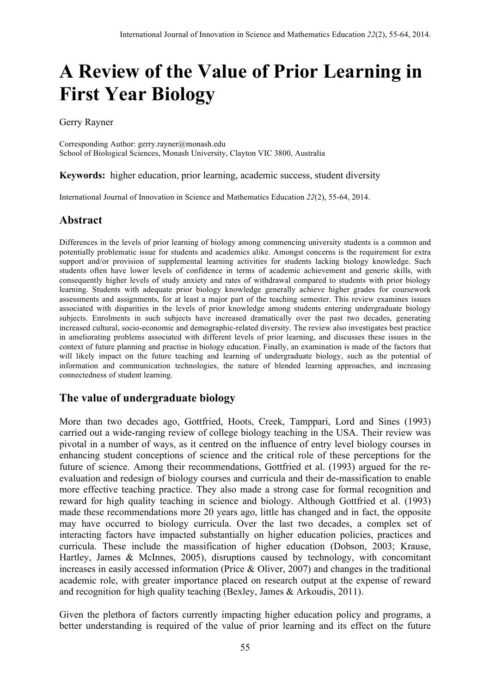# **A Review of the Value of Prior Learning in First Year Biology**

Gerry Rayner

Corresponding Author: gerry.rayner@monash.edu School of Biological Sciences, Monash University, Clayton VIC 3800, Australia

#### **Keywords:** higher education, prior learning, academic success, student diversity

International Journal of Innovation in Science and Mathematics Education *22*(2), 55-64, 2014.

## **Abstract**

Differences in the levels of prior learning of biology among commencing university students is a common and potentially problematic issue for students and academics alike. Amongst concerns is the requirement for extra support and/or provision of supplemental learning activities for students lacking biology knowledge. Such students often have lower levels of confidence in terms of academic achievement and generic skills, with consequently higher levels of study anxiety and rates of withdrawal compared to students with prior biology learning. Students with adequate prior biology knowledge generally achieve higher grades for coursework assessments and assignments, for at least a major part of the teaching semester. This review examines issues associated with disparities in the levels of prior knowledge among students entering undergraduate biology subjects. Enrolments in such subjects have increased dramatically over the past two decades, generating increased cultural, socio-economic and demographic-related diversity. The review also investigates best practice in ameliorating problems associated with different levels of prior learning, and discusses these issues in the context of future planning and practise in biology education. Finally, an examination is made of the factors that will likely impact on the future teaching and learning of undergraduate biology, such as the potential of information and communication technologies, the nature of blended learning approaches, and increasing connectedness of student learning.

### **The value of undergraduate biology**

More than two decades ago, Gottfried, Hoots, Creek, Tamppari, Lord and Sines (1993) carried out a wide-ranging review of college biology teaching in the USA. Their review was pivotal in a number of ways, as it centred on the influence of entry level biology courses in enhancing student conceptions of science and the critical role of these perceptions for the future of science. Among their recommendations, Gottfried et al. (1993) argued for the reevaluation and redesign of biology courses and curricula and their de-massification to enable more effective teaching practice. They also made a strong case for formal recognition and reward for high quality teaching in science and biology. Although Gottfried et al. (1993) made these recommendations more 20 years ago, little has changed and in fact, the opposite may have occurred to biology curricula. Over the last two decades, a complex set of interacting factors have impacted substantially on higher education policies, practices and curricula. These include the massification of higher education (Dobson, 2003; Krause, Hartley, James & McInnes, 2005), disruptions caused by technology, with concomitant increases in easily accessed information (Price & Oliver, 2007) and changes in the traditional academic role, with greater importance placed on research output at the expense of reward and recognition for high quality teaching (Bexley, James & Arkoudis, 2011).

Given the plethora of factors currently impacting higher education policy and programs, a better understanding is required of the value of prior learning and its effect on the future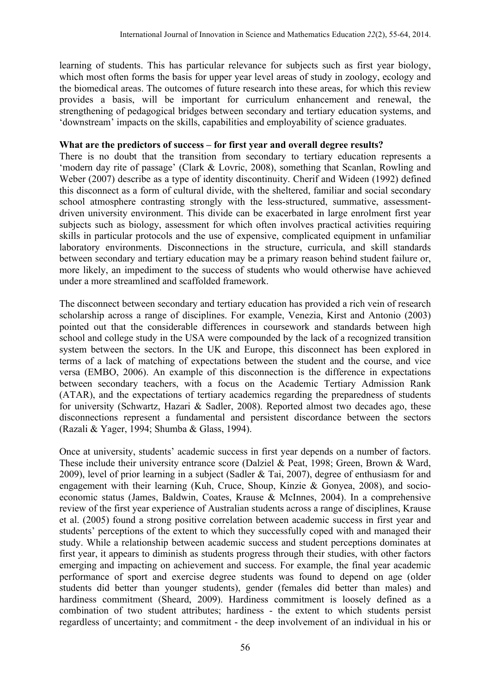learning of students. This has particular relevance for subjects such as first year biology, which most often forms the basis for upper year level areas of study in zoology, ecology and the biomedical areas. The outcomes of future research into these areas, for which this review provides a basis, will be important for curriculum enhancement and renewal, the strengthening of pedagogical bridges between secondary and tertiary education systems, and 'downstream' impacts on the skills, capabilities and employability of science graduates.

#### **What are the predictors of success – for first year and overall degree results?**

There is no doubt that the transition from secondary to tertiary education represents a 'modern day rite of passage' (Clark & Lovric, 2008), something that Scanlan, Rowling and Weber (2007) describe as a type of identity discontinuity. Cherif and Wideen (1992) defined this disconnect as a form of cultural divide, with the sheltered, familiar and social secondary school atmosphere contrasting strongly with the less-structured, summative, assessmentdriven university environment. This divide can be exacerbated in large enrolment first year subjects such as biology, assessment for which often involves practical activities requiring skills in particular protocols and the use of expensive, complicated equipment in unfamiliar laboratory environments. Disconnections in the structure, curricula, and skill standards between secondary and tertiary education may be a primary reason behind student failure or, more likely, an impediment to the success of students who would otherwise have achieved under a more streamlined and scaffolded framework.

The disconnect between secondary and tertiary education has provided a rich vein of research scholarship across a range of disciplines. For example, Venezia, Kirst and Antonio (2003) pointed out that the considerable differences in coursework and standards between high school and college study in the USA were compounded by the lack of a recognized transition system between the sectors. In the UK and Europe, this disconnect has been explored in terms of a lack of matching of expectations between the student and the course, and vice versa (EMBO, 2006). An example of this disconnection is the difference in expectations between secondary teachers, with a focus on the Academic Tertiary Admission Rank (ATAR), and the expectations of tertiary academics regarding the preparedness of students for university (Schwartz, Hazari & Sadler, 2008). Reported almost two decades ago, these disconnections represent a fundamental and persistent discordance between the sectors (Razali & Yager, 1994; Shumba & Glass, 1994).

Once at university, students' academic success in first year depends on a number of factors. These include their university entrance score (Dalziel & Peat, 1998; Green, Brown & Ward, 2009), level of prior learning in a subject (Sadler & Tai, 2007), degree of enthusiasm for and engagement with their learning (Kuh, Cruce, Shoup, Kinzie & Gonyea, 2008), and socioeconomic status (James, Baldwin, Coates, Krause & McInnes, 2004). In a comprehensive review of the first year experience of Australian students across a range of disciplines, Krause et al. (2005) found a strong positive correlation between academic success in first year and students' perceptions of the extent to which they successfully coped with and managed their study. While a relationship between academic success and student perceptions dominates at first year, it appears to diminish as students progress through their studies, with other factors emerging and impacting on achievement and success. For example, the final year academic performance of sport and exercise degree students was found to depend on age (older students did better than younger students), gender (females did better than males) and hardiness commitment (Sheard, 2009). Hardiness commitment is loosely defined as a combination of two student attributes; hardiness - the extent to which students persist regardless of uncertainty; and commitment - the deep involvement of an individual in his or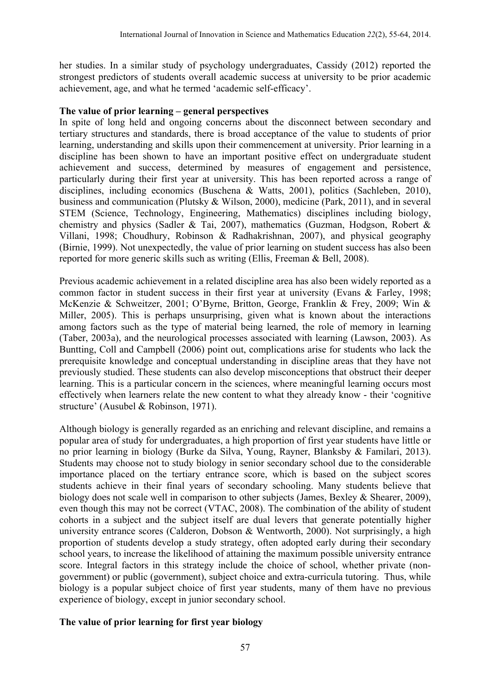her studies. In a similar study of psychology undergraduates, Cassidy (2012) reported the strongest predictors of students overall academic success at university to be prior academic achievement, age, and what he termed 'academic self-efficacy'.

#### **The value of prior learning – general perspectives**

In spite of long held and ongoing concerns about the disconnect between secondary and tertiary structures and standards, there is broad acceptance of the value to students of prior learning, understanding and skills upon their commencement at university. Prior learning in a discipline has been shown to have an important positive effect on undergraduate student achievement and success, determined by measures of engagement and persistence, particularly during their first year at university. This has been reported across a range of disciplines, including economics (Buschena & Watts, 2001), politics (Sachleben, 2010), business and communication (Plutsky & Wilson, 2000), medicine (Park, 2011), and in several STEM (Science, Technology, Engineering, Mathematics) disciplines including biology, chemistry and physics (Sadler & Tai, 2007), mathematics (Guzman, Hodgson, Robert & Villani, 1998; Choudhury, Robinson & Radhakrishnan, 2007), and physical geography (Birnie, 1999). Not unexpectedly, the value of prior learning on student success has also been reported for more generic skills such as writing (Ellis, Freeman & Bell, 2008).

Previous academic achievement in a related discipline area has also been widely reported as a common factor in student success in their first year at university (Evans & Farley, 1998; McKenzie & Schweitzer, 2001; O'Byrne, Britton, George, Franklin & Frey, 2009; Win & Miller, 2005). This is perhaps unsurprising, given what is known about the interactions among factors such as the type of material being learned, the role of memory in learning (Taber, 2003a), and the neurological processes associated with learning (Lawson, 2003). As Buntting, Coll and Campbell (2006) point out, complications arise for students who lack the prerequisite knowledge and conceptual understanding in discipline areas that they have not previously studied. These students can also develop misconceptions that obstruct their deeper learning. This is a particular concern in the sciences, where meaningful learning occurs most effectively when learners relate the new content to what they already know - their 'cognitive structure' (Ausubel & Robinson, 1971).

Although biology is generally regarded as an enriching and relevant discipline, and remains a popular area of study for undergraduates, a high proportion of first year students have little or no prior learning in biology (Burke da Silva, Young, Rayner, Blanksby & Familari, 2013). Students may choose not to study biology in senior secondary school due to the considerable importance placed on the tertiary entrance score, which is based on the subject scores students achieve in their final years of secondary schooling. Many students believe that biology does not scale well in comparison to other subjects (James, Bexley & Shearer, 2009), even though this may not be correct (VTAC, 2008). The combination of the ability of student cohorts in a subject and the subject itself are dual levers that generate potentially higher university entrance scores (Calderon, Dobson & Wentworth, 2000). Not surprisingly, a high proportion of students develop a study strategy, often adopted early during their secondary school years, to increase the likelihood of attaining the maximum possible university entrance score. Integral factors in this strategy include the choice of school, whether private (nongovernment) or public (government), subject choice and extra-curricula tutoring. Thus, while biology is a popular subject choice of first year students, many of them have no previous experience of biology, except in junior secondary school.

#### **The value of prior learning for first year biology**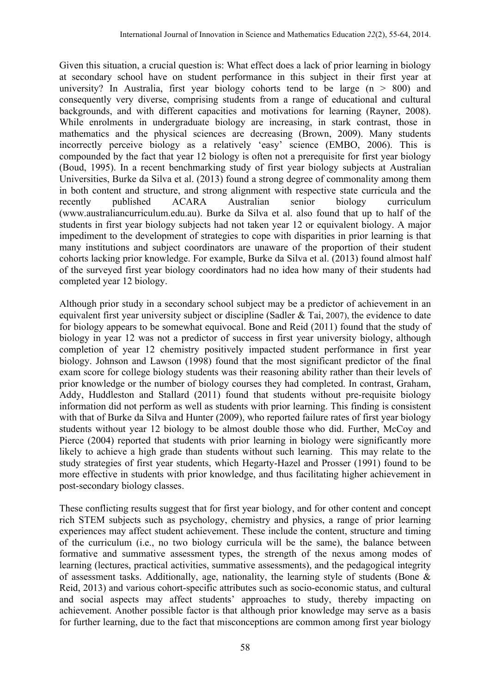Given this situation, a crucial question is: What effect does a lack of prior learning in biology at secondary school have on student performance in this subject in their first year at university? In Australia, first year biology cohorts tend to be large  $(n > 800)$  and consequently very diverse, comprising students from a range of educational and cultural backgrounds, and with different capacities and motivations for learning (Rayner, 2008). While enrolments in undergraduate biology are increasing, in stark contrast, those in mathematics and the physical sciences are decreasing (Brown, 2009). Many students incorrectly perceive biology as a relatively 'easy' science (EMBO, 2006). This is compounded by the fact that year 12 biology is often not a prerequisite for first year biology (Boud, 1995). In a recent benchmarking study of first year biology subjects at Australian Universities, Burke da Silva et al. (2013) found a strong degree of commonality among them in both content and structure, and strong alignment with respective state curricula and the recently published ACARA Australian senior biology curriculum (www.australiancurriculum.edu.au). Burke da Silva et al. also found that up to half of the students in first year biology subjects had not taken year 12 or equivalent biology. A major impediment to the development of strategies to cope with disparities in prior learning is that many institutions and subject coordinators are unaware of the proportion of their student cohorts lacking prior knowledge. For example, Burke da Silva et al. (2013) found almost half of the surveyed first year biology coordinators had no idea how many of their students had completed year 12 biology.

Although prior study in a secondary school subject may be a predictor of achievement in an equivalent first year university subject or discipline (Sadler & Tai, 2007), the evidence to date for biology appears to be somewhat equivocal. Bone and Reid (2011) found that the study of biology in year 12 was not a predictor of success in first year university biology, although completion of year 12 chemistry positively impacted student performance in first year biology. Johnson and Lawson (1998) found that the most significant predictor of the final exam score for college biology students was their reasoning ability rather than their levels of prior knowledge or the number of biology courses they had completed. In contrast, Graham, Addy, Huddleston and Stallard (2011) found that students without pre-requisite biology information did not perform as well as students with prior learning. This finding is consistent with that of Burke da Silva and Hunter (2009), who reported failure rates of first year biology students without year 12 biology to be almost double those who did. Further, McCoy and Pierce (2004) reported that students with prior learning in biology were significantly more likely to achieve a high grade than students without such learning. This may relate to the study strategies of first year students, which Hegarty-Hazel and Prosser (1991) found to be more effective in students with prior knowledge, and thus facilitating higher achievement in post-secondary biology classes.

These conflicting results suggest that for first year biology, and for other content and concept rich STEM subjects such as psychology, chemistry and physics, a range of prior learning experiences may affect student achievement. These include the content, structure and timing of the curriculum (i.e., no two biology curricula will be the same), the balance between formative and summative assessment types, the strength of the nexus among modes of learning (lectures, practical activities, summative assessments), and the pedagogical integrity of assessment tasks. Additionally, age, nationality, the learning style of students (Bone & Reid, 2013) and various cohort-specific attributes such as socio-economic status, and cultural and social aspects may affect students' approaches to study, thereby impacting on achievement. Another possible factor is that although prior knowledge may serve as a basis for further learning, due to the fact that misconceptions are common among first year biology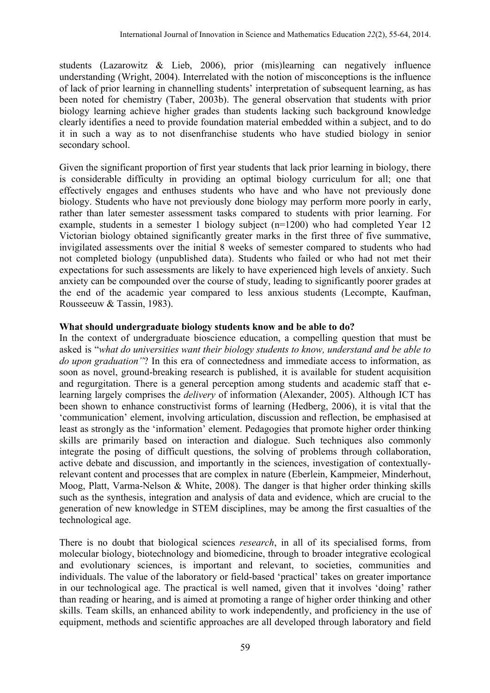students (Lazarowitz & Lieb, 2006), prior (mis)learning can negatively influence understanding (Wright, 2004). Interrelated with the notion of misconceptions is the influence of lack of prior learning in channelling students' interpretation of subsequent learning, as has been noted for chemistry (Taber, 2003b). The general observation that students with prior biology learning achieve higher grades than students lacking such background knowledge clearly identifies a need to provide foundation material embedded within a subject, and to do it in such a way as to not disenfranchise students who have studied biology in senior secondary school.

Given the significant proportion of first year students that lack prior learning in biology, there is considerable difficulty in providing an optimal biology curriculum for all; one that effectively engages and enthuses students who have and who have not previously done biology. Students who have not previously done biology may perform more poorly in early, rather than later semester assessment tasks compared to students with prior learning. For example, students in a semester 1 biology subject (n=1200) who had completed Year 12 Victorian biology obtained significantly greater marks in the first three of five summative, invigilated assessments over the initial 8 weeks of semester compared to students who had not completed biology (unpublished data). Students who failed or who had not met their expectations for such assessments are likely to have experienced high levels of anxiety. Such anxiety can be compounded over the course of study, leading to significantly poorer grades at the end of the academic year compared to less anxious students (Lecompte, Kaufman, Rousseeuw & Tassin, 1983).

#### **What should undergraduate biology students know and be able to do?**

In the context of undergraduate bioscience education, a compelling question that must be asked is "*what do universities want their biology students to know, understand and be able to do upon graduation"*? In this era of connectedness and immediate access to information, as soon as novel, ground-breaking research is published, it is available for student acquisition and regurgitation. There is a general perception among students and academic staff that elearning largely comprises the *delivery* of information (Alexander, 2005). Although ICT has been shown to enhance constructivist forms of learning (Hedberg, 2006), it is vital that the 'communication' element, involving articulation, discussion and reflection, be emphasised at least as strongly as the 'information' element. Pedagogies that promote higher order thinking skills are primarily based on interaction and dialogue. Such techniques also commonly integrate the posing of difficult questions, the solving of problems through collaboration, active debate and discussion, and importantly in the sciences, investigation of contextuallyrelevant content and processes that are complex in nature (Eberlein, Kampmeier, Minderhout, Moog, Platt, Varma-Nelson & White, 2008). The danger is that higher order thinking skills such as the synthesis, integration and analysis of data and evidence, which are crucial to the generation of new knowledge in STEM disciplines, may be among the first casualties of the technological age.

There is no doubt that biological sciences *research*, in all of its specialised forms, from molecular biology, biotechnology and biomedicine, through to broader integrative ecological and evolutionary sciences, is important and relevant, to societies, communities and individuals. The value of the laboratory or field-based 'practical' takes on greater importance in our technological age. The practical is well named, given that it involves 'doing' rather than reading or hearing, and is aimed at promoting a range of higher order thinking and other skills. Team skills, an enhanced ability to work independently, and proficiency in the use of equipment, methods and scientific approaches are all developed through laboratory and field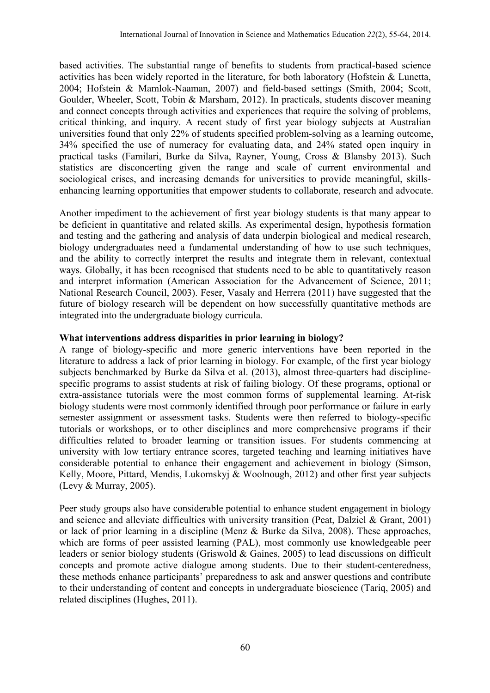based activities. The substantial range of benefits to students from practical-based science activities has been widely reported in the literature, for both laboratory (Hofstein & Lunetta, 2004; Hofstein & Mamlok-Naaman, 2007) and field-based settings (Smith, 2004; Scott, Goulder, Wheeler, Scott, Tobin & Marsham, 2012). In practicals, students discover meaning and connect concepts through activities and experiences that require the solving of problems, critical thinking, and inquiry. A recent study of first year biology subjects at Australian universities found that only 22% of students specified problem-solving as a learning outcome, 34% specified the use of numeracy for evaluating data, and 24% stated open inquiry in practical tasks (Familari, Burke da Silva, Rayner, Young, Cross & Blansby 2013). Such statistics are disconcerting given the range and scale of current environmental and sociological crises, and increasing demands for universities to provide meaningful, skillsenhancing learning opportunities that empower students to collaborate, research and advocate.

Another impediment to the achievement of first year biology students is that many appear to be deficient in quantitative and related skills. As experimental design, hypothesis formation and testing and the gathering and analysis of data underpin biological and medical research, biology undergraduates need a fundamental understanding of how to use such techniques, and the ability to correctly interpret the results and integrate them in relevant, contextual ways. Globally, it has been recognised that students need to be able to quantitatively reason and interpret information (American Association for the Advancement of Science, 2011; National Research Council, 2003). Feser, Vasaly and Herrera (2011) have suggested that the future of biology research will be dependent on how successfully quantitative methods are integrated into the undergraduate biology curricula.

#### **What interventions address disparities in prior learning in biology?**

A range of biology-specific and more generic interventions have been reported in the literature to address a lack of prior learning in biology. For example, of the first year biology subjects benchmarked by Burke da Silva et al. (2013), almost three-quarters had disciplinespecific programs to assist students at risk of failing biology. Of these programs, optional or extra-assistance tutorials were the most common forms of supplemental learning. At-risk biology students were most commonly identified through poor performance or failure in early semester assignment or assessment tasks. Students were then referred to biology-specific tutorials or workshops, or to other disciplines and more comprehensive programs if their difficulties related to broader learning or transition issues. For students commencing at university with low tertiary entrance scores, targeted teaching and learning initiatives have considerable potential to enhance their engagement and achievement in biology (Simson, Kelly, Moore, Pittard, Mendis, Lukomskyj & Woolnough, 2012) and other first year subjects (Levy & Murray, 2005).

Peer study groups also have considerable potential to enhance student engagement in biology and science and alleviate difficulties with university transition (Peat, Dalziel & Grant, 2001) or lack of prior learning in a discipline (Menz & Burke da Silva, 2008). These approaches, which are forms of peer assisted learning (PAL), most commonly use knowledgeable peer leaders or senior biology students (Griswold & Gaines, 2005) to lead discussions on difficult concepts and promote active dialogue among students. Due to their student-centeredness, these methods enhance participants' preparedness to ask and answer questions and contribute to their understanding of content and concepts in undergraduate bioscience (Tariq, 2005) and related disciplines (Hughes, 2011).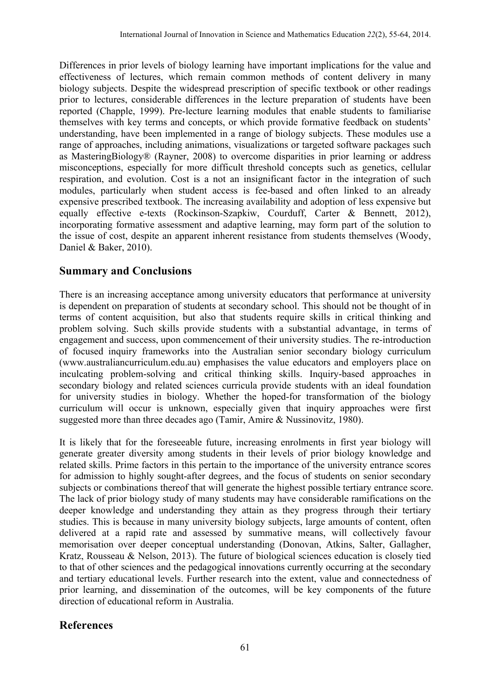Differences in prior levels of biology learning have important implications for the value and effectiveness of lectures, which remain common methods of content delivery in many biology subjects. Despite the widespread prescription of specific textbook or other readings prior to lectures, considerable differences in the lecture preparation of students have been reported (Chapple, 1999). Pre-lecture learning modules that enable students to familiarise themselves with key terms and concepts, or which provide formative feedback on students' understanding, have been implemented in a range of biology subjects. These modules use a range of approaches, including animations, visualizations or targeted software packages such as MasteringBiology® (Rayner, 2008) to overcome disparities in prior learning or address misconceptions, especially for more difficult threshold concepts such as genetics, cellular respiration, and evolution. Cost is a not an insignificant factor in the integration of such modules, particularly when student access is fee-based and often linked to an already expensive prescribed textbook. The increasing availability and adoption of less expensive but equally effective e-texts (Rockinson-Szapkiw, Courduff, Carter & Bennett, 2012), incorporating formative assessment and adaptive learning, may form part of the solution to the issue of cost, despite an apparent inherent resistance from students themselves (Woody, Daniel & Baker, 2010).

## **Summary and Conclusions**

There is an increasing acceptance among university educators that performance at university is dependent on preparation of students at secondary school. This should not be thought of in terms of content acquisition, but also that students require skills in critical thinking and problem solving. Such skills provide students with a substantial advantage, in terms of engagement and success, upon commencement of their university studies. The re-introduction of focused inquiry frameworks into the Australian senior secondary biology curriculum (www.australiancurriculum.edu.au) emphasises the value educators and employers place on inculcating problem-solving and critical thinking skills. Inquiry-based approaches in secondary biology and related sciences curricula provide students with an ideal foundation for university studies in biology. Whether the hoped-for transformation of the biology curriculum will occur is unknown, especially given that inquiry approaches were first suggested more than three decades ago (Tamir, Amire & Nussinovitz, 1980).

It is likely that for the foreseeable future, increasing enrolments in first year biology will generate greater diversity among students in their levels of prior biology knowledge and related skills. Prime factors in this pertain to the importance of the university entrance scores for admission to highly sought-after degrees, and the focus of students on senior secondary subjects or combinations thereof that will generate the highest possible tertiary entrance score. The lack of prior biology study of many students may have considerable ramifications on the deeper knowledge and understanding they attain as they progress through their tertiary studies. This is because in many university biology subjects, large amounts of content, often delivered at a rapid rate and assessed by summative means, will collectively favour memorisation over deeper conceptual understanding (Donovan, Atkins, Salter, Gallagher, Kratz, Rousseau & Nelson, 2013). The future of biological sciences education is closely tied to that of other sciences and the pedagogical innovations currently occurring at the secondary and tertiary educational levels. Further research into the extent, value and connectedness of prior learning, and dissemination of the outcomes, will be key components of the future direction of educational reform in Australia.

## **References**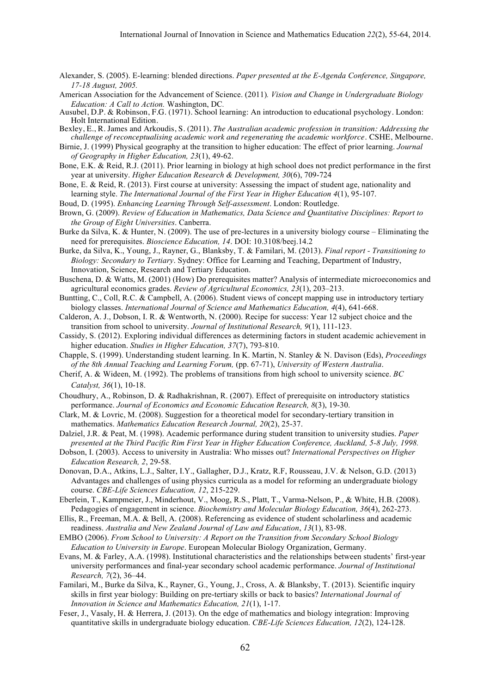- Alexander, S. (2005). E-learning: blended directions. *Paper presented at the E-Agenda Conference, Singapore, 17-18 August, 2005.*
- American Association for the Advancement of Science. (2011)*. Vision and Change in Undergraduate Biology Education: A Call to Action.* Washington, DC*.*
- Ausubel, D.P. & Robinson, F.G. (1971). School learning: An introduction to educational psychology. London: Holt International Edition.
- Bexley, E., R. James and Arkoudis, S. (2011). *The Australian academic profession in transition: Addressing the challenge of reconceptualising academic work and regenerating the academic workforce.* CSHE, Melbourne.
- Birnie, J. (1999) Physical geography at the transition to higher education: The effect of prior learning. *Journal of Geography in Higher Education, 23*(1), 49-62.
- Bone, E.K. & Reid, R.J. (2011). Prior learning in biology at high school does not predict performance in the first year at university. *Higher Education Research & Development, 30*(6), 709-724
- Bone, E. & Reid, R. (2013). First course at university: Assessing the impact of student age, nationality and learning style. *The International Journal of the First Year in Higher Education 4*(1), 95-107.
- Boud, D. (1995). *Enhancing Learning Through Self-assessment*. London: Routledge.
- Brown, G. (2009). *Review of Education in Mathematics, Data Science and Quantitative Disciplines: Report to the Group of Eight Universities*. Canberra.
- Burke da Silva, K. & Hunter, N. (2009). The use of pre-lectures in a university biology course Eliminating the need for prerequisites. *Bioscience Education, 14*. DOI: 10.3108/beej.14.2
- Burke, da Silva, K., Young, J., Rayner, G., Blanksby, T. & Familari, M. (2013). *Final report - Transitioning to Biology: Secondary to Tertiary*. Sydney: Office for Learning and Teaching, Department of Industry, Innovation, Science, Research and Tertiary Education.
- Buschena, D. & Watts, M. (2001) (How) Do prerequisites matter? Analysis of intermediate microeconomics and agricultural economics grades. *Review of Agricultural Economics, 23*(1), 203–213.
- Buntting, C., Coll, R.C. & Campbell, A. (2006). Student views of concept mapping use in introductory tertiary biology classes. *International Journal of Science and Mathematics Education, 4*(4), 641-668.
- Calderon, A. J., Dobson, I. R. & Wentworth, N. (2000). Recipe for success: Year 12 subject choice and the transition from school to university. *Journal of Institutional Research, 9*(1), 111-123.
- Cassidy, S. (2012). Exploring individual differences as determining factors in student academic achievement in higher education. *Studies in Higher Education, 37*(7), 793-810.
- Chapple, S. (1999). Understanding student learning. In K. Martin, N. Stanley & N. Davison (Eds), *Proceedings of the 8th Annual Teaching and Learning Forum,* (pp. 67-71), *University of Western Australia*.
- Cherif, A. & Wideen, M. (1992). The problems of transitions from high school to university science. *BC Catalyst, 36*(1), 10-18.
- Choudhury, A., Robinson, D. & Radhakrishnan, R. (2007). Effect of prerequisite on introductory statistics performance. *Journal of Economics and Economic Education Research, 8*(3), 19-30.
- Clark, M. & Lovric, M. (2008). Suggestion for a theoretical model for secondary-tertiary transition in mathematics. *Mathematics Education Research Journal, 20*(2), 25-37.
- Dalziel, J.R. & Peat, M. (1998). Academic performance during student transition to university studies. *Paper presented at the Third Pacific Rim First Year in Higher Education Conference, Auckland, 5-8 July, 1998.*
- Dobson, I. (2003). Access to university in Australia: Who misses out? *International Perspectives on Higher Education Research, 2*, 29-58.
- Donovan, D.A., Atkins, L.J., Salter, I.Y., Gallagher, D.J., Kratz, R.F, Rousseau, J.V. & Nelson, G.D. (2013) Advantages and challenges of using physics curricula as a model for reforming an undergraduate biology course. *CBE-Life Sciences Education, 12*, 215-229.
- Eberlein, T., Kampmeier, J., Minderhout, V., Moog, R.S., Platt, T., Varma-Nelson, P., & White, H.B. (2008). Pedagogies of engagement in science. *Biochemistry and Molecular Biology Education, 36*(4), 262-273.
- Ellis, R., Freeman, M.A. & Bell, A. (2008). Referencing as evidence of student scholarliness and academic readiness. *Australia and New Zealand Journal of Law and Education*, *13*(1), 83-98.
- EMBO (2006). *From School to University: A Report on the Transition from Secondary School Biology Education to University in Europe*. European Molecular Biology Organization, Germany.
- Evans, M. & Farley, A.A. (1998). Institutional characteristics and the relationships between students' first-year university performances and final-year secondary school academic performance. *Journal of Institutional Research, 7*(2), 36–44.
- Familari, M., Burke da Silva, K., Rayner, G., Young, J., Cross, A. & Blanksby, T. (2013). Scientific inquiry skills in first year biology: Building on pre-tertiary skills or back to basics? *International Journal of Innovation in Science and Mathematics Education, 21*(1), 1-17.
- Feser, J., Vasaly, H. & Herrera, J. (2013). On the edge of mathematics and biology integration: Improving quantitative skills in undergraduate biology education. *CBE-Life Sciences Education, 12*(2), 124-128.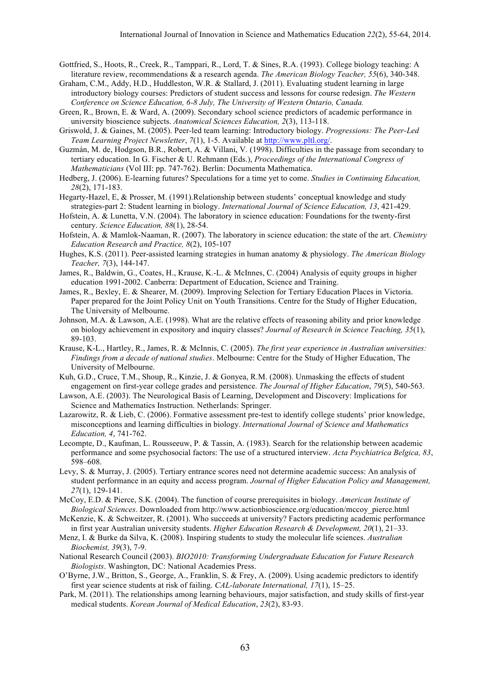- Gottfried, S., Hoots, R., Creek, R., Tamppari, R., Lord, T. & Sines, R.A. (1993). College biology teaching: A literature review, recommendations & a research agenda. *The American Biology Teacher, 55*(6), 340-348.
- Graham, C.M., Addy, H.D., Huddleston, W.R. & Stallard, J. (2011). Evaluating student learning in large introductory biology courses: Predictors of student success and lessons for course redesign. *The Western Conference on Science Education, 6-8 July, The University of Western Ontario, Canada.*
- Green, R., Brown, E. & Ward, A. (2009). Secondary school science predictors of academic performance in university bioscience subjects. *Anatomical Sciences Education, 2*(3), 113-118.
- Griswold, J. & Gaines, M. (2005). Peer-led team learning: Introductory biology. *Progressions: The Peer-Led Team Learning Project Newsletter*, *7*(1), 1-5. Available at http://www.pltl.org/.
- Guzmán, M. de, Hodgson, B.R., Robert, A. & Villani, V. (1998). Difficulties in the passage from secondary to tertiary education. In G. Fischer & U. Rehmann (Eds.), *Proceedings of the International Congress of Mathematicians* (Vol III: pp. 747-762). Berlin: Documenta Mathematica.
- Hedberg, J. (2006). E-learning futures? Speculations for a time yet to come. *Studies in Continuing Education, 28*(2), 171-183.
- Hegarty-Hazel, E, & Prosser, M. (1991).Relationship between students' conceptual knowledge and study strategies-part 2: Student learning in biology. *International Journal of Science Education, 13*, 421-429.
- Hofstein, A. & Lunetta, V.N. (2004). The laboratory in science education: Foundations for the twenty-first century. *Science Education, 88*(1), 28-54.
- Hofstein, A. & Mamlok-Naaman, R. (2007). The laboratory in science education: the state of the art. *Chemistry Education Research and Practice, 8*(2), 105-107
- Hughes, K.S. (2011). Peer-assisted learning strategies in human anatomy & physiology. *The American Biology Teacher, 7*(3), 144-147.
- James, R., Baldwin, G., Coates, H., Krause, K.-L. & McInnes, C. (2004) Analysis of equity groups in higher education 1991-2002. Canberra: Department of Education, Science and Training.
- James, R., Bexley, E. & Shearer, M. (2009). Improving Selection for Tertiary Education Places in Victoria. Paper prepared for the Joint Policy Unit on Youth Transitions. Centre for the Study of Higher Education, The University of Melbourne.
- Johnson, M.A. & Lawson, A.E. (1998). What are the relative effects of reasoning ability and prior knowledge on biology achievement in expository and inquiry classes? *Journal of Research in Science Teaching, 35*(1), 89-103.
- Krause, K-L., Hartley, R., James, R. & McInnis, C. (2005). *The first year experience in Australian universities: Findings from a decade of national studies*. Melbourne: Centre for the Study of Higher Education, The University of Melbourne.
- Kuh, G.D., Cruce, T.M., Shoup, R., Kinzie, J. & Gonyea, R.M. (2008). Unmasking the effects of student engagement on first-year college grades and persistence. *The Journal of Higher Education*, *79*(5), 540-563.
- Lawson, A.E. (2003). The Neurological Basis of Learning, Development and Discovery: Implications for Science and Mathematics Instruction. Netherlands: Springer.
- Lazarowitz, R. & Lieb, C. (2006). Formative assessment pre-test to identify college students' prior knowledge, misconceptions and learning difficulties in biology. *International Journal of Science and Mathematics Education, 4*, 741-762.
- Lecompte, D., Kaufman, L. Rousseeuw, P. & Tassin, A. (1983). Search for the relationship between academic performance and some psychosocial factors: The use of a structured interview. *Acta Psychiatrica Belgica, 83*, 598–608.
- Levy, S. & Murray, J. (2005). Tertiary entrance scores need not determine academic success: An analysis of student performance in an equity and access program. *Journal of Higher Education Policy and Management, 27*(1), 129-141.
- McCoy, E.D. & Pierce, S.K. (2004). The function of course prerequisites in biology. *American Institute of Biological Sciences*. Downloaded from http://www.actionbioscience.org/education/mccoy\_pierce.html
- McKenzie, K. & Schweitzer, R. (2001). Who succeeds at university? Factors predicting academic performance in first year Australian university students. *Higher Education Research & Development, 20*(1), 21–33.
- Menz, I. & Burke da Silva, K. (2008). Inspiring students to study the molecular life sciences. *Australian Biochemist, 39*(3), 7-9.
- National Research Council (2003). *BIO2010: Transforming Undergraduate Education for Future Research Biologists*. Washington, DC: National Academies Press.
- O'Byrne, J.W., Britton, S., George, A., Franklin, S. & Frey, A. (2009). Using academic predictors to identify first year science students at risk of failing. *CAL-laborate International, 17*(1), 15–25.
- Park, M. (2011). The relationships among learning behaviours, major satisfaction, and study skills of first-year medical students. *Korean Journal of Medical Education*, *23*(2), 83-93.